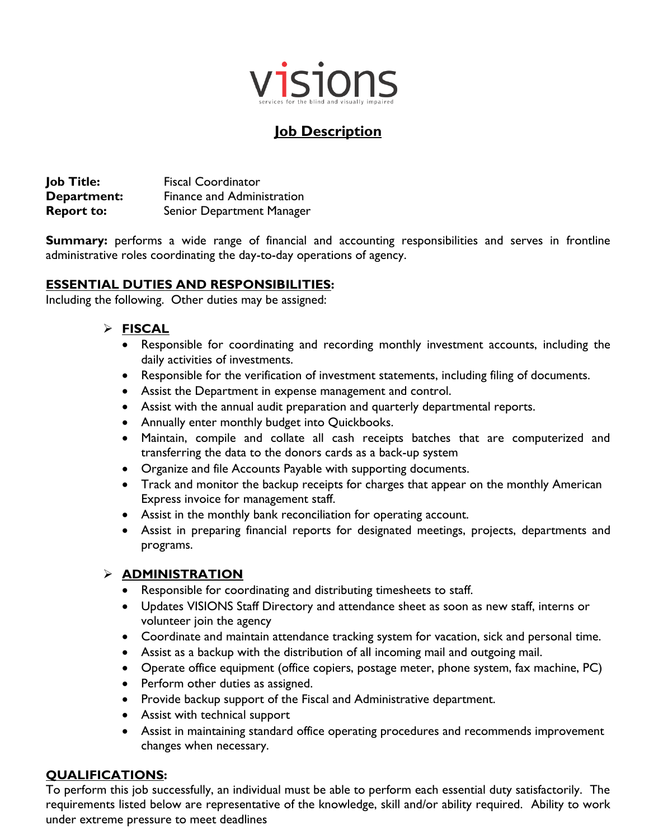

# **Job Description**

**Job Title:** Fiscal Coordinator **Department:** Finance and Administration **Report to:** Senior Department Manager

**Summary:** performs a wide range of financial and accounting responsibilities and serves in frontline administrative roles coordinating the day-to-day operations of agency.

## **ESSENTIAL DUTIES AND RESPONSIBILITIES:**

Including the following. Other duties may be assigned:

#### **FISCAL**

- Responsible for coordinating and recording monthly investment accounts, including the daily activities of investments.
- Responsible for the verification of investment statements, including filing of documents.
- Assist the Department in expense management and control.
- Assist with the annual audit preparation and quarterly departmental reports.
- Annually enter monthly budget into Quickbooks.
- Maintain, compile and collate all cash receipts batches that are computerized and transferring the data to the donors cards as a back-up system
- Organize and file Accounts Payable with supporting documents.
- Track and monitor the backup receipts for charges that appear on the monthly American Express invoice for management staff.
- Assist in the monthly bank reconciliation for operating account.
- Assist in preparing financial reports for designated meetings, projects, departments and programs.

#### **ADMINISTRATION**

- Responsible for coordinating and distributing timesheets to staff.
- Updates VISIONS Staff Directory and attendance sheet as soon as new staff, interns or volunteer join the agency
- Coordinate and maintain attendance tracking system for vacation, sick and personal time.
- Assist as a backup with the distribution of all incoming mail and outgoing mail.
- Operate office equipment (office copiers, postage meter, phone system, fax machine, PC)
- Perform other duties as assigned.
- Provide backup support of the Fiscal and Administrative department.
- Assist with technical support
- Assist in maintaining standard office operating procedures and recommends improvement changes when necessary.

## **QUALIFICATIONS:**

To perform this job successfully, an individual must be able to perform each essential duty satisfactorily. The requirements listed below are representative of the knowledge, skill and/or ability required. Ability to work under extreme pressure to meet deadlines